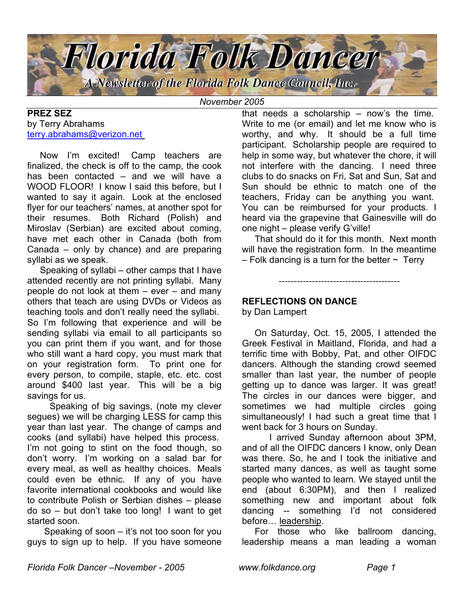

*November 2005*

## **PREZ SEZ** by Terry Abrahams [terry.abrahams@verizon.net](mailto:terry.abrahams@verizon.net)

 Now I'm excited! Camp teachers are finalized, the check is off to the camp, the cook has been contacted – and we will have a WOOD FLOOR! I know I said this before, but I wanted to say it again. Look at the enclosed flyer for our teachers' names, at another spot for their resumes. Both Richard (Polish) and Miroslav (Serbian) are excited about coming, have met each other in Canada (both from Canada – only by chance) and are preparing syllabi as we speak.

 Speaking of syllabi – other camps that I have attended recently are not printing syllabi. Many people do not look at them – ever – and many others that teach are using DVDs or Videos as teaching tools and don't really need the syllabi. So I'm following that experience and will be sending syllabi via email to all participants so you can print them if you want, and for those who still want a hard copy, you must mark that on your registration form. To print one for every person, to compile, staple, etc. etc. cost around \$400 last year. This will be a big savings for us.

 Speaking of big savings, (note my clever segues) we will be charging LESS for camp this year than last year. The change of camps and cooks (and syllabi) have helped this process. I'm not going to stint on the food though, so don't worry. I'm working on a salad bar for every meal, as well as healthy choices. Meals could even be ethnic. If any of you have favorite international cookbooks and would like to contribute Polish or Serbian dishes – please do so – but don't take too long! I want to get started soon.

 Speaking of soon – it's not too soon for you guys to sign up to help. If you have someone that needs a scholarship – now's the time. Write to me (or email) and let me know who is worthy, and why. It should be a full time participant. Scholarship people are required to help in some way, but whatever the chore, it will not interfere with the dancing. I need three clubs to do snacks on Fri, Sat and Sun, Sat and Sun should be ethnic to match one of the teachers, Friday can be anything you want. You can be reimbursed for your products. I heard via the grapevine that Gainesville will do one night – please verify G'ville!

 That should do it for this month. Next month will have the registration form. In the meantime  $-$  Folk dancing is a turn for the better  $\sim$  Terry

----------------------------------------

# **REFLECTIONS ON DANCE**

by Dan Lampert

On Saturday, Oct. 15, 2005, I attended the Greek Festival in Maitland, Florida, and had a terrific time with Bobby, Pat, and other OIFDC dancers. Although the standing crowd seemed smaller than last year, the number of people getting up to dance was larger. It was great! The circles in our dances were bigger, and sometimes we had multiple circles going simultaneously! I had such a great time that I went back for 3 hours on Sunday.

I arrived Sunday afternoon about 3PM, and of all the OIFDC dancers I know, only Dean was there. So, he and I took the initiative and started many dances, as well as taught some people who wanted to learn. We stayed until the end (about 6:30PM), and then I realized something new and important about folk dancing -- something I'd not considered before… leadership.

For those who like ballroom dancing, leadership means a man leading a woman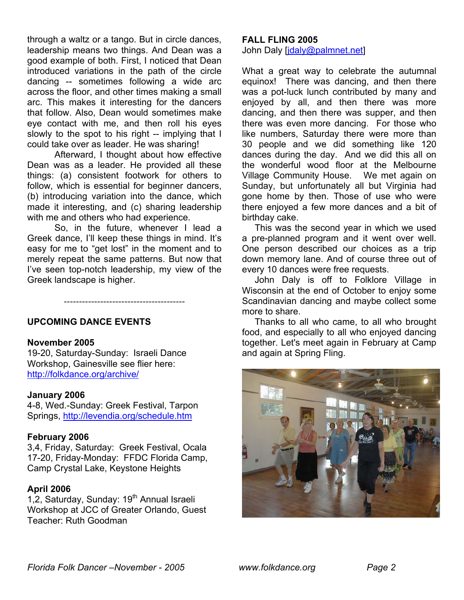through a waltz or a tango. But in circle dances, leadership means two things. And Dean was a good example of both. First, I noticed that Dean introduced variations in the path of the circle dancing -- sometimes following a wide arc across the floor, and other times making a small arc. This makes it interesting for the dancers that follow. Also, Dean would sometimes make eye contact with me, and then roll his eyes slowly to the spot to his right -- implying that I could take over as leader. He was sharing!

Afterward, I thought about how effective Dean was as a leader. He provided all these things: (a) consistent footwork for others to follow, which is essential for beginner dancers, (b) introducing variation into the dance, which made it interesting, and (c) sharing leadership with me and others who had experience.

So, in the future, whenever I lead a Greek dance, I'll keep these things in mind. It's easy for me to "get lost" in the moment and to merely repeat the same patterns. But now that I've seen top-notch leadership, my view of the Greek landscape is higher.

----------------------------------------

## **UPCOMING DANCE EVENTS**

#### **November 2005**

19-20, Saturday-Sunday: Israeli Dance Workshop, Gainesville see flier here: http://folkdance.org/archive/

#### **January 2006**

4-8, Wed.-Sunday: Greek Festival, Tarpon Springs, http://levendia.org/schedule.htm

#### **February 2006**

3,4, Friday, Saturday: Greek Festival, Ocala 17-20, Friday-Monday: FFDC Florida Camp, Camp Crystal Lake, Keystone Heights

#### **April 2006**

1,2, Saturday, Sunday: 19<sup>th</sup> Annual Israeli Workshop at JCC of Greater Orlando, Guest Teacher: Ruth Goodman

#### **FALL FLING 2005**

John Daly [jdaly@palmnet.net]

What a great way to celebrate the autumnal equinox! There was dancing, and then there was a pot-luck lunch contributed by many and enjoyed by all, and then there was more dancing, and then there was supper, and then there was even more dancing. For those who like numbers, Saturday there were more than 30 people and we did something like 120 dances during the day. And we did this all on the wonderful wood floor at the Melbourne Village Community House. We met again on Sunday, but unfortunately all but Virginia had gone home by then. Those of use who were there enjoyed a few more dances and a bit of birthday cake.

This was the second year in which we used a pre-planned program and it went over well. One person described our choices as a trip down memory lane. And of course three out of every 10 dances were free requests.

John Daly is off to Folklore Village in Wisconsin at the end of October to enjoy some Scandinavian dancing and maybe collect some more to share.

 Thanks to all who came, to all who brought food, and especially to all who enjoyed dancing together. Let's meet again in February at Camp and again at Spring Fling.

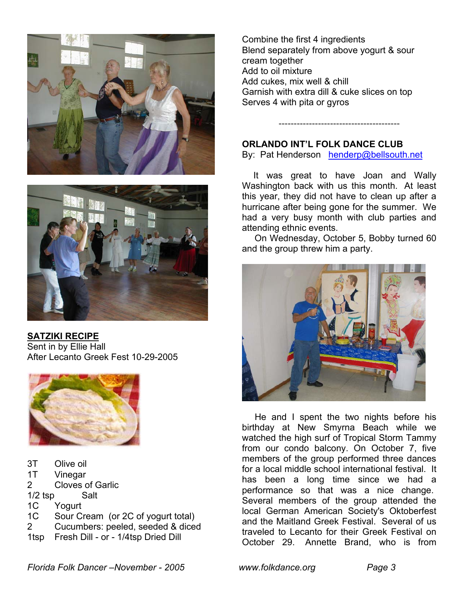



**SATZIKI RECIPE** Sent in by Ellie Hall After Lecanto Greek Fest 10-29-2005



3T Olive oil 1T Vinegar 2 Cloves of Garlic 1/2 tsp Salt 1C Yogurt 1C Sour Cream (or 2C of yogurt total) 2 Cucumbers: peeled, seeded & diced

1tsp Fresh Dill - or - 1/4tsp Dried Dill

Combine the first 4 ingredients Blend separately from above yogurt & sour cream together Add to oil mixture Add cukes, mix well & chill Garnish with extra dill & cuke slices on top Serves 4 with pita or gyros

# **ORLANDO INT'L FOLK DANCE CLUB**

By: Pat Henderson [henderp@bellsouth.net](mailto:henderp@bellsouth.net)

----------------------------------------

 It was great to have Joan and Wally Washington back with us this month. At least this year, they did not have to clean up after a hurricane after being gone for the summer. We had a very busy month with club parties and attending ethnic events.

On Wednesday, October 5, Bobby turned 60 and the group threw him a party.



He and I spent the two nights before his birthday at New Smyrna Beach while we watched the high surf of Tropical Storm Tammy from our condo balcony. On October 7, five members of the group performed three dances for a local middle school international festival. It has been a long time since we had a performance so that was a nice change. Several members of the group attended the local German American Society's Oktoberfest and the Maitland Greek Festival. Several of us traveled to Lecanto for their Greek Festival on October 29. Annette Brand, who is from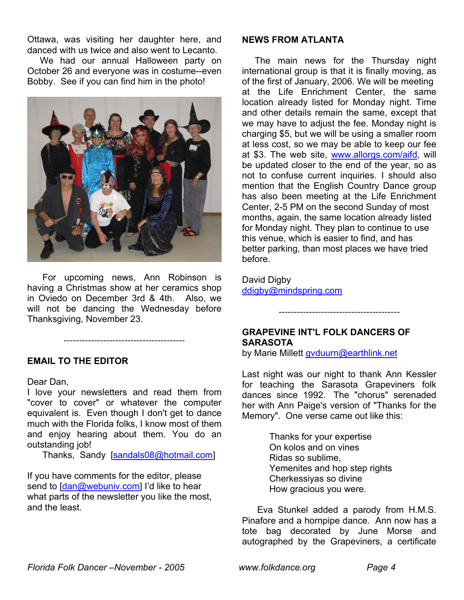Ottawa, was visiting her daughter here, and danced with us twice and also went to Lecanto.

 We had our annual Halloween party on October 26 and everyone was in costume--even Bobby. See if you can find him in the photo!



 For upcoming news, Ann Robinson is having a Christmas show at her ceramics shop in Oviedo on December 3rd & 4th. Also, we will not be dancing the Wednesday before Thanksgiving, November 23.

----------------------------------------

## **EMAIL TO THE EDITOR**

#### Dear Dan,

I love your newsletters and read them from "cover to cover" or whatever the computer equivalent is. Even though I don't get to dance much with the Florida folks, I know most of them and enjoy hearing about them. You do an outstanding job!

Thanks, Sandy [sandals08@hotmail.com]

If you have comments for the editor, please send to [dan@webuniv.com] I'd like to hear what parts of the newsletter you like the most, and the least.

#### **NEWS FROM ATLANTA**

The main news for the Thursday night international group is that it is finally moving, as of the first of January, 2006. We will be meeting at the Life Enrichment Center, the same location already listed for Monday night. Time and other details remain the same, except that we may have to adjust the fee. Monday night is charging \$5, but we will be using a smaller room at less cost, so we may be able to keep our fee at \$3. The web site, www.allorgs.com/aifd, will be updated closer to the end of the year, so as not to confuse current inquiries. I should also mention that the English Country Dance group has also been meeting at the Life Enrichment Center, 2-5 PM on the second Sunday of most months, again, the same location already listed for Monday night. They plan to continue to use this venue, which is easier to find, and has better parking, than most places we have tried before.

David Digby ddigby@mindspring.com

# **GRAPEVINE INT'L FOLK DANCERS OF SARASOTA**

by Marie Millett [gvduurn@earthlink.net](mailto:gvduurn@earthlink.net)

Last night was our night to thank Ann Kessler for teaching the Sarasota Grapeviners folk dances since 1992. The "chorus" serenaded her with Ann Paige's version of "Thanks for the Memory". One verse came out like this:

----------------------------------------

Thanks for your expertise On kolos and on vines Ridas so sublime, Yemenites and hop step rights Cherkessiyas so divine How gracious you were.

Eva Stunkel added a parody from H.M.S. Pinafore and a hornpipe dance. Ann now has a tote bag decorated by June Morse and autographed by the Grapeviners, a certificate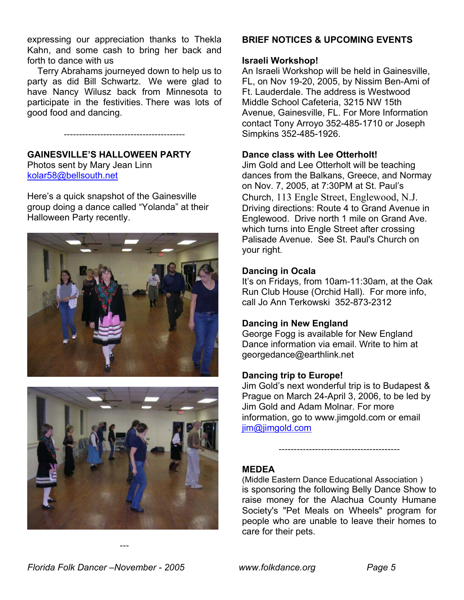expressing our appreciation thanks to Thekla Kahn, and some cash to bring her back and forth to dance with us

 Terry Abrahams journeyed down to help us to party as did Bill Schwartz. We were glad to have Nancy Wilusz back from Minnesota to participate in the festivities. There was lots of good food and dancing.

----------------------------------------

**GAINESVILLE'S HALLOWEEN PARTY**  Photos sent by Mary Jean Linn kolar58@bellsouth.net

Here's a quick snapshot of the Gainesville group doing a dance called "Yolanda" at their Halloween Party recently.





---

# **BRIEF NOTICES & UPCOMING EVENTS**

# **Israeli Workshop!**

An Israeli Workshop will be held in Gainesville, FL, on Nov 19-20, 2005, by Nissim Ben-Ami of Ft. Lauderdale. The address is Westwood Middle School Cafeteria, 3215 NW 15th Avenue, Gainesville, FL. For More Information contact Tony Arroyo 352-485-1710 or Joseph Simpkins 352-485-1926.

# **Dance class with Lee Otterholt!**

Jim Gold and Lee Otterholt will be teaching dances from the Balkans, Greece, and Normay on Nov. 7, 2005, at 7:30PM at St. Paul's Church, 113 Engle Street, Englewood, N.J. Driving directions: Route 4 to Grand Avenue in Englewood. Drive north 1 mile on Grand Ave. which turns into Engle Street after crossing Palisade Avenue. See St. Paul's Church on your right.

## **Dancing in Ocala**

It's on Fridays, from 10am-11:30am, at the Oak Run Club House (Orchid Hall). For more info, call Jo Ann Terkowski 352-873-2312

## **Dancing in New England**

George Fogg is available for New England Dance information via email. Write to him at georgedance@earthlink.net

## **Dancing trip to Europe!**

Jim Gold's next wonderful trip is to Budapest & Prague on March 24-April 3, 2006, to be led by Jim Gold and Adam Molnar. For more information, go to www.jimgold.com or email [jim@jimgold.com](mailto:jim@jimgold.com)

----------------------------------------

## **MEDEA**

(Middle Eastern Dance Educational Association ) is sponsoring the following Belly Dance Show to raise money for the Alachua County Humane Society's "Pet Meals on Wheels" program for people who are unable to leave their homes to care for their pets.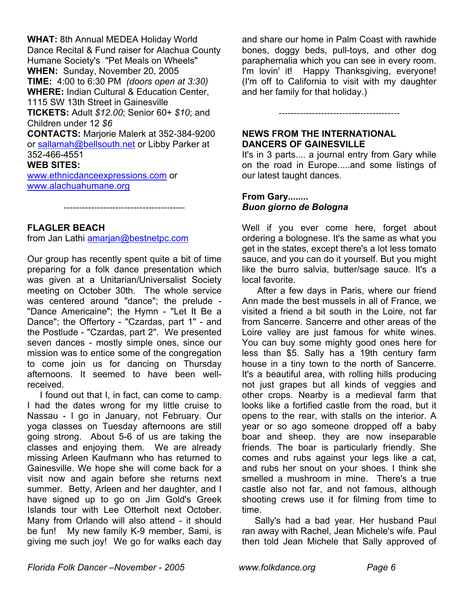**WHAT:** 8th Annual MEDEA Holiday World Dance Recital & Fund raiser for Alachua County Humane Society's "Pet Meals on Wheels" **WHEN:** Sunday, November 20, 2005 **TIME:** 4:00 to 6:30 PM *(doors open at 3:30)* **WHERE:** Indian Cultural & Education Center, 1115 SW 13th Street in Gainesville **TICKETS:** Adult *\$12.00*; Senior 60+ *\$10*; and Children under 12 *\$6* **CONTACTS:** Marjorie Malerk at 352-384-9200 or [sallamah@bellsouth.net](mailto:sallamah@bellsouth.net) or Libby Parker at 352-466-4551 **WEB SITES:** [www.ethnicdanceexpressions.com](http://www.ethnicdanceexpressions.com/) or [www.alachuahumane.org](http://www.alachuahumane.org/)

----------------------------------------

## **FLAGLER BEACH**

from Jan Lathi amarjan@bestnetpc.com

Our group has recently spent quite a bit of time preparing for a folk dance presentation which was given at a Unitarian/Universalist Society meeting on October 30th. The whole service was centered around "dance"; the prelude - "Dance Americaine"; the Hymn - "Let It Be a Dance"; the Offertory - "Czardas, part 1" - and the Postlude - "Czardas, part 2". We presented seven dances - mostly simple ones, since our mission was to entice some of the congregation to come join us for dancing on Thursday afternoons. It seemed to have been wellreceived.

I found out that I, in fact, can come to camp. I had the dates wrong for my little cruise to Nassau - I go in January, not February. Our yoga classes on Tuesday afternoons are still going strong. About 5-6 of us are taking the classes and enjoying them. We are already missing Arleen Kaufmann who has returned to Gainesville. We hope she will come back for a visit now and again before she returns next summer. Betty, Arleen and her daughter, and I have signed up to go on Jim Gold's Greek Islands tour with Lee Otterholt next October. Many from Orlando will also attend - it should be fun! My new family K-9 member, Sami, is giving me such joy! We go for walks each day

and share our home in Palm Coast with rawhide bones, doggy beds, pull-toys, and other dog paraphernalia which you can see in every room. I'm lovin' it! Happy Thanksgiving, everyone! (I'm off to California to visit with my daughter and her family for that holiday.)

## **NEWS FROM THE INTERNATIONAL DANCERS OF GAINESVILLE**

It's in 3 parts.... a journal entry from Gary while on the road in Europe.....and some listings of our latest taught dances.

----------------------------------------

## **From Gary........**  *Buon giorno de Bologna*

Well if you ever come here, forget about ordering a bolognese. It's the same as what you get in the states, except there's a lot less tomato sauce, and you can do it yourself. But you might like the burro salvia, butter/sage sauce. It's a local favorite.

 After a few days in Paris, where our friend Ann made the best mussels in all of France, we visited a friend a bit south in the Loire, not far from Sancerre. Sancerre and other areas of the Loire valley are just famous for white wines. You can buy some mighty good ones here for less than \$5. Sally has a 19th century farm house in a tiny town to the north of Sancerre. It's a beautiful area, with rolling hills producing not just grapes but all kinds of veggies and other crops. Nearby is a medieval farm that looks like a fortified castle from the road, but it opens to the rear, with stalls on the interior. A year or so ago someone dropped off a baby boar and sheep. they are now inseparable friends. The boar is particularly friendly. She comes and rubs against your legs like a cat, and rubs her snout on your shoes. I think she smelled a mushroom in mine. There's a true castle also not far, and not famous, although shooting crews use it for filming from time to time.

Sally's had a bad year. Her husband Paul ran away with Rachel, Jean Michele's wife. Paul then told Jean Michele that Sally approved of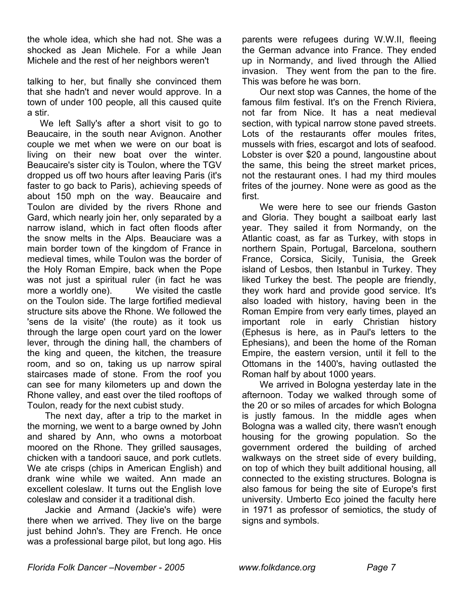the whole idea, which she had not. She was a shocked as Jean Michele. For a while Jean Michele and the rest of her neighbors weren't

talking to her, but finally she convinced them that she hadn't and never would approve. In a town of under 100 people, all this caused quite a stir.

 We left Sally's after a short visit to go to Beaucaire, in the south near Avignon. Another couple we met when we were on our boat is living on their new boat over the winter. Beaucaire's sister city is Toulon, where the TGV dropped us off two hours after leaving Paris (it's faster to go back to Paris), achieving speeds of about 150 mph on the way. Beaucaire and Toulon are divided by the rivers Rhone and Gard, which nearly join her, only separated by a narrow island, which in fact often floods after the snow melts in the Alps. Beauciare was a main border town of the kingdom of France in medieval times, while Toulon was the border of the Holy Roman Empire, back when the Pope was not just a spiritual ruler (in fact he was more a worldly one). We visited the castle on the Toulon side. The large fortified medieval structure sits above the Rhone. We followed the 'sens de la visite' (the route) as it took us through the large open court yard on the lower lever, through the dining hall, the chambers of the king and queen, the kitchen, the treasure room, and so on, taking us up narrow spiral staircases made of stone. From the roof you can see for many kilometers up and down the Rhone valley, and east over the tiled rooftops of Toulon, ready for the next cubist study.

The next day, after a trip to the market in the morning, we went to a barge owned by John and shared by Ann, who owns a motorboat moored on the Rhone. They grilled sausages, chicken with a tandoori sauce, and pork cutlets. We ate crisps (chips in American English) and drank wine while we waited. Ann made an excellent coleslaw. It turns out the English love coleslaw and consider it a traditional dish.

 Jackie and Armand (Jackie's wife) were there when we arrived. They live on the barge just behind John's. They are French. He once was a professional barge pilot, but long ago. His

parents were refugees during W.W.II, fleeing the German advance into France. They ended up in Normandy, and lived through the Allied invasion. They went from the pan to the fire. This was before he was born.

Our next stop was Cannes, the home of the famous film festival. It's on the French Riviera, not far from Nice. It has a neat medieval section, with typical narrow stone paved streets. Lots of the restaurants offer moules frites, mussels with fries, escargot and lots of seafood. Lobster is over \$20 a pound, langoustine about the same, this being the street market prices, not the restaurant ones. I had my third moules frites of the journey. None were as good as the first.

We were here to see our friends Gaston and Gloria. They bought a sailboat early last year. They sailed it from Normandy, on the Atlantic coast, as far as Turkey, with stops in northern Spain, Portugal, Barcelona, southern France, Corsica, Sicily, Tunisia, the Greek island of Lesbos, then Istanbul in Turkey. They liked Turkey the best. The people are friendly, they work hard and provide good service. It's also loaded with history, having been in the Roman Empire from very early times, played an important role in early Christian history (Ephesus is here, as in Paul's letters to the Ephesians), and been the home of the Roman Empire, the eastern version, until it fell to the Ottomans in the 1400's, having outlasted the Roman half by about 1000 years.

We arrived in Bologna yesterday late in the afternoon. Today we walked through some of the 20 or so miles of arcades for which Bologna is justly famous. In the middle ages when Bologna was a walled city, there wasn't enough housing for the growing population. So the government ordered the building of arched walkways on the street side of every building, on top of which they built additional housing, all connected to the existing structures. Bologna is also famous for being the site of Europe's first university. Umberto Eco joined the faculty here in 1971 as professor of semiotics, the study of signs and symbols.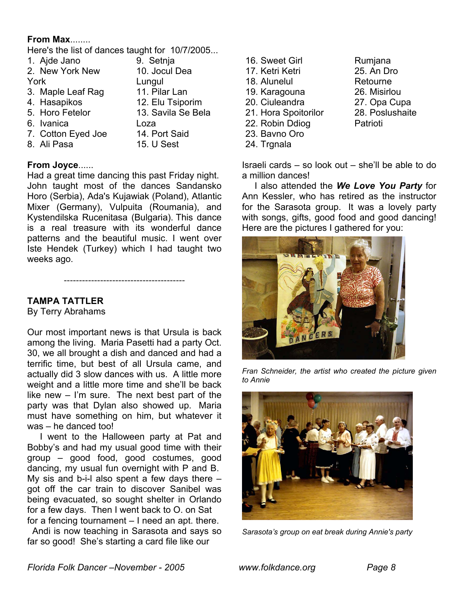## **From Max**........

Here's the list of dances taught for 10/7/2005...

|      | 1. Ajde Jano       | 9. Setnja          |
|------|--------------------|--------------------|
|      | 2. New York New    | 10. Jocul Dea      |
| York |                    | Lungul             |
|      | 3. Maple Leaf Rag  | 11. Pilar Lan      |
|      | 4. Hasapikos       | 12. Elu Tsiporim   |
|      | 5. Horo Fetelor    | 13. Savila Se Bela |
|      | 6. Ivanica         | Loza               |
|      | 7. Cotton Eyed Joe | 14. Port Said      |
|      | 8. Ali Pasa        | 15. U Sest         |
|      |                    |                    |

## **From Joyce**......

Had a great time dancing this past Friday night. John taught most of the dances Sandansko Horo (Serbia), Ada's Kujawiak (Poland), Atlantic Mixer (Germany), Vulpuita (Roumania), and Kystendilska Rucenitasa (Bulgaria). This dance is a real treasure with its wonderful dance patterns and the beautiful music. I went over Iste Hendek (Turkey) which I had taught two weeks ago.

----------------------------------------

# **TAMPA TATTLER**

By Terry Abrahams

Our most important news is that Ursula is back among the living. Maria Pasetti had a party Oct. 30, we all brought a dish and danced and had a terrific time, but best of all Ursula came, and actually did 3 slow dances with us. A little more weight and a little more time and she'll be back like new – I'm sure. The next best part of the party was that Dylan also showed up. Maria must have something on him, but whatever it was – he danced too!

 I went to the Halloween party at Pat and Bobby's and had my usual good time with their group – good food, good costumes, good dancing, my usual fun overnight with P and B. My sis and b-i-l also spent a few days there – got off the car train to discover Sanibel was being evacuated, so sought shelter in Orlando for a few days. Then I went back to O. on Sat for a fencing tournament – I need an apt. there.

Andi is now teaching in Sarasota and says so far so good! She's starting a card file like our

| 16. Sweet Girl       |
|----------------------|
| 17. Ketri Ketri      |
| 18. Alunelul         |
| 19. Karagouna        |
| 20. Ciuleandra       |
| 21. Hora Spoitorilor |
| 22. Robin Ddiog      |
| 23. Bavno Oro        |
| 24. Trgnala          |

Rumjana 25. An Dro Retourne 26. Misirlou 27. Opa Cupa 28. Poslushaite Patrioti

Israeli cards – so look out – she'll be able to do a million dances!

 I also attended the *We Love You Party* for Ann Kessler, who has retired as the instructor for the Sarasota group. It was a lovely party with songs, gifts, good food and good dancing! Here are the pictures I gathered for you:



*Fran Schneider, the artist who created the picture given to Annie*



*Sarasota's group on eat break during Annie's party*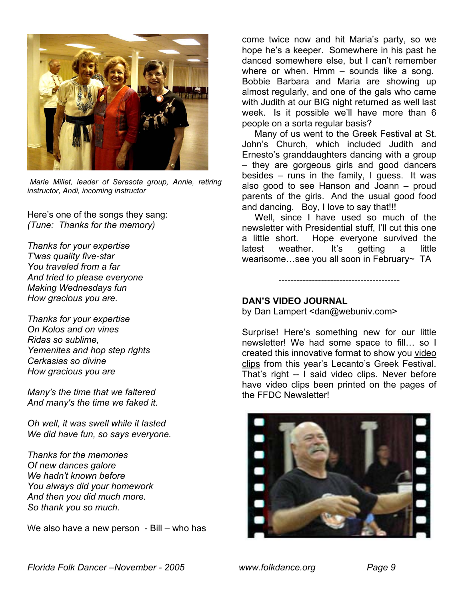

*Marie Millet, leader of Sarasota group, Annie, retiring instructor, Andi, incoming instructor*

Here's one of the songs they sang: *(Tune: Thanks for the memory)*

*Thanks for your expertise T'was quality five-star You traveled from a far And tried to please everyone Making Wednesdays fun How gracious you are.* 

*Thanks for your expertise On Kolos and on vines Ridas so sublime, Yemenites and hop step rights Cerkasias so divine How gracious you are* 

*Many's the time that we faltered And many's the time we faked it.* 

*Oh well, it was swell while it lasted We did have fun, so says everyone.* 

*Thanks for the memories Of new dances galore We hadn't known before You always did your homework And then you did much more. So thank you so much.* 

We also have a new person - Bill – who has

come twice now and hit Maria's party, so we hope he's a keeper. Somewhere in his past he danced somewhere else, but I can't remember where or when. Hmm – sounds like a song. Bobbie Barbara and Maria are showing up almost regularly, and one of the gals who came with Judith at our BIG night returned as well last week. Is it possible we'll have more than 6 people on a sorta regular basis?

Many of us went to the Greek Festival at St. John's Church, which included Judith and Ernesto's granddaughters dancing with a group – they are gorgeous girls and good dancers besides – runs in the family, I guess. It was also good to see Hanson and Joann – proud parents of the girls. And the usual good food and dancing. Boy, I love to say that!!!

Well, since I have used so much of the newsletter with Presidential stuff, I'll cut this one a little short. Hope everyone survived the latest weather. It's getting a little wearisome…see you all soon in February~ TA

----------------------------------------

#### **DAN'S VIDEO JOURNAL**

by Dan Lampert <dan@webuniv.com>

Surprise! Here's something new for our little newsletter! We had some space to fill… so I created this innovative format to show you video clips from this year's Lecanto's Greek Festival. That's right -- I said video clips. Never before have video clips been printed on the pages of the FFDC Newsletter!

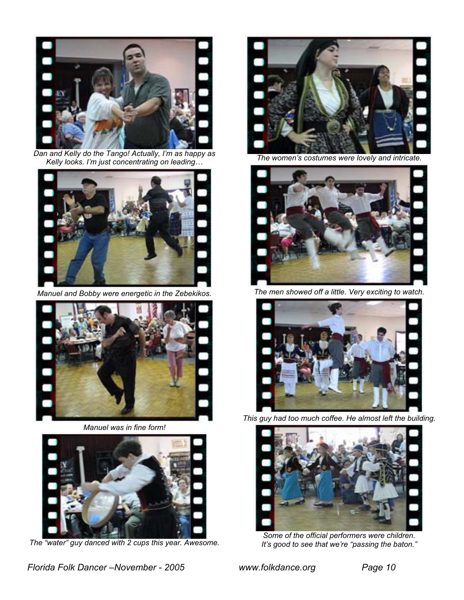

*Dan and Kelly do the Tango! Actually, I'm as happy as Kelly looks. I'm just concentrating on leading…* 



*Manuel and Bobby were energetic in the Zebekikos.*



*Manuel was in fine form!* 



*The "water" guy danced with 2 cups this year. Awesome.* 



*The women's costumes were lovely and intricate.* 



*The men showed off a little. Very exciting to watch.* 



*This guy had too much coffee. He almost left the building.*



*Some of the official performers were children. It's good to see that we're "passing the baton."*